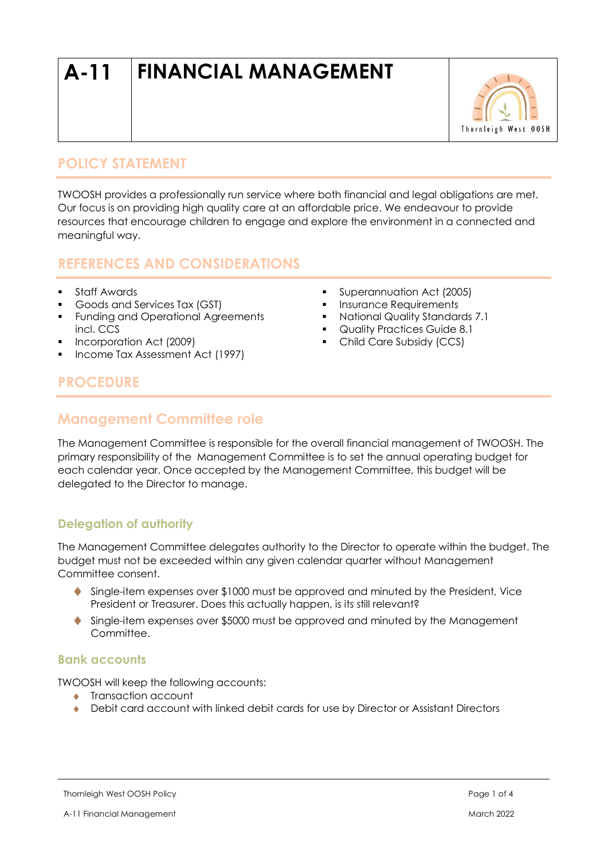# **A-11 FINANCIAL MANAGEMENT**



## **POLICY STATEMENT**

TWOOSH provides a professionally run service where both financial and legal obligations are met. Our focus is on providing high quality care at an affordable price. We endeavour to provide resources that encourage children to engage and explore the environment in a connected and meaningful way.

# **REFERENCES AND CONSIDERATIONS**

- Staff Awards
- Goods and Services Tax (GST)
- **•** Funding and Operational Agreements incl. CCS
- Incorporation Act (2009)
- Income Tax Assessment Act (1997)
- Superannuation Act (2005)
- **·** Insurance Requirements
- National Quality Standards 7.1
- Quality Practices Guide 8.1
- Child Care Subsidy (CCS)

# **PROCEDURE**

# **Management Committee role**

The Management Committee is responsible for the overall financial management of TWOOSH. The primary responsibility of the Management Committee is to set the annual operating budget for each calendar year. Once accepted by the Management Committee, this budget will be delegated to the Director to manage.

## **Delegation of authority**

The Management Committee delegates authority to the Director to operate within the budget. The budget must not be exceeded within any given calendar quarter without Management Committee consent.

- Single-item expenses over \$1000 must be approved and minuted by the President, Vice President or Treasurer. Does this actually happen, is its still relevant?
- Single-item expenses over \$5000 must be approved and minuted by the Management Committee.

#### **Bank accounts**

TWOOSH will keep the following accounts:

- **Transaction account**
- ◆ Debit card account with linked debit cards for use by Director or Assistant Directors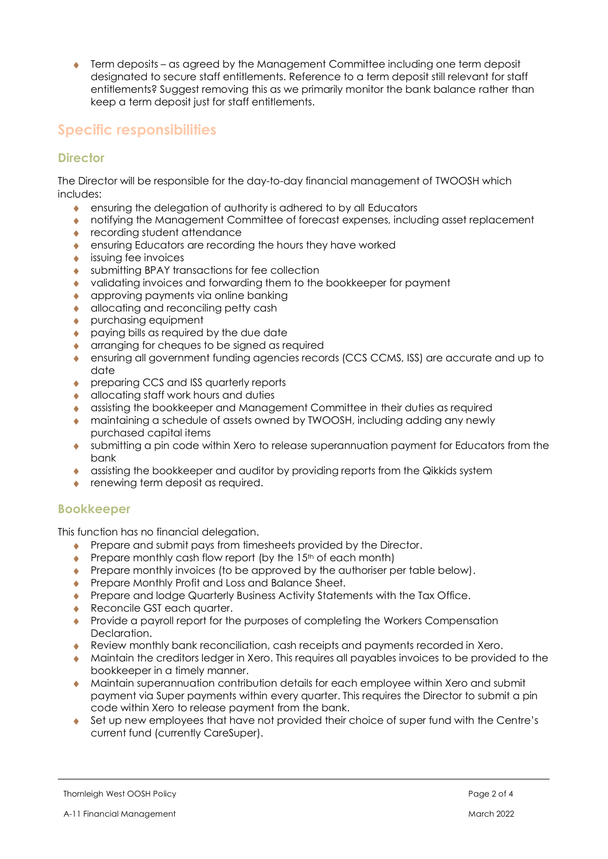Term deposits – as agreed by the Management Committee including one term deposit designated to secure staff entitlements. Reference to a term deposit still relevant for staff entitlements? Suggest removing this as we primarily monitor the bank balance rather than keep a term deposit just for staff entitlements.

# **Specific responsibilities**

### **Director**

The Director will be responsible for the day-to-day financial management of TWOOSH which includes:

- ensuring the delegation of authority is adhered to by all Educators
- notifying the Management Committee of forecast expenses, including asset replacement
- ◆ recording student attendance
- ensuring Educators are recording the hours they have worked
- issuing fee invoices
- submitting BPAY transactions for fee collection
- validating invoices and forwarding them to the bookkeeper for payment
- **a** approving payments via online banking
- **allocating and reconciling petty cash**
- ◆ purchasing equipment
- paying bills as required by the due date
- **Containation** for cheques to be signed as required
- ensuring all government funding agencies records (CCS CCMS, ISS) are accurate and up to date
- ◆ preparing CCS and ISS quarterly reports
- **allocating staff work hours and duties**
- assisting the bookkeeper and Management Committee in their duties as required
- maintaining a schedule of assets owned by TWOOSH, including adding any newly purchased capital items
- submitting a pin code within Xero to release superannuation payment for Educators from the bank
- assisting the bookkeeper and auditor by providing reports from the Qikkids system
- ◆ renewing term deposit as required.

#### **Bookkeeper**

This function has no financial delegation.

- **Prepare and submit pays from timesheets provided by the Director.**
- $\bullet$  Prepare monthly cash flow report (by the 15<sup>th</sup> of each month)
- Prepare monthly invoices (to be approved by the authoriser per table below).
- **Prepare Monthly Profit and Loss and Balance Sheet.**
- ◆ Prepare and lodge Quarterly Business Activity Statements with the Tax Office.
- ◆ Reconcile GST each quarter.
- Provide a payroll report for the purposes of completing the Workers Compensation Declaration.
- Review monthly bank reconciliation, cash receipts and payments recorded in Xero.
- Maintain the creditors ledger in Xero. This requires all payables invoices to be provided to the bookkeeper in a timely manner.
- Maintain superannuation contribution details for each employee within Xero and submit payment via Super payments within every quarter. This requires the Director to submit a pin code within Xero to release payment from the bank.
- Set up new employees that have not provided their choice of super fund with the Centre's current fund (currently CareSuper).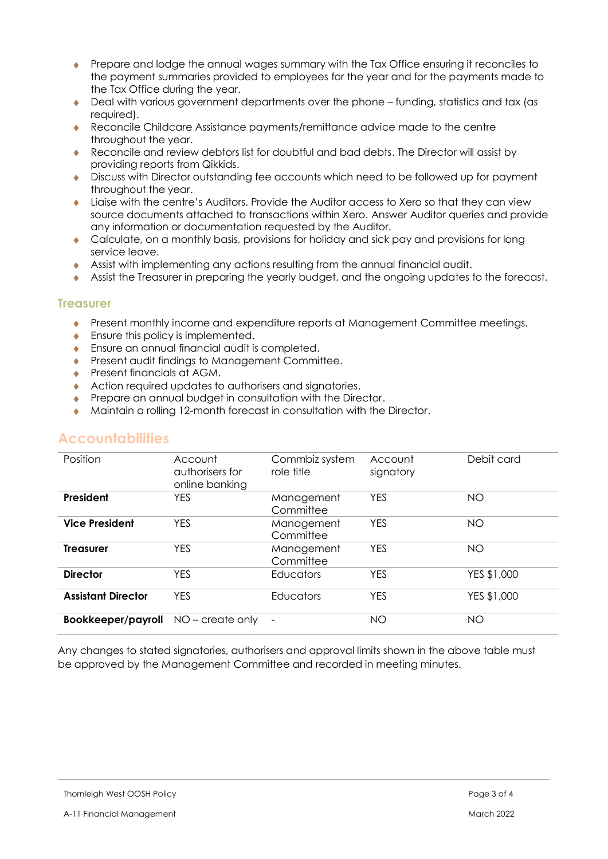- Prepare and lodge the annual wages summary with the Tax Office ensuring it reconciles to the payment summaries provided to employees for the year and for the payments made to the Tax Office during the year.
- Deal with various government departments over the phone funding, statistics and tax (as required).
- Reconcile Childcare Assistance payments/remittance advice made to the centre throughout the year.
- Reconcile and review debtors list for doubtful and bad debts. The Director will assist by providing reports from Qikkids.
- Discuss with Director outstanding fee accounts which need to be followed up for payment throughout the year.
- Liaise with the centre's Auditors. Provide the Auditor access to Xero so that they can view source documents attached to transactions within Xero. Answer Auditor queries and provide any information or documentation requested by the Auditor.
- Calculate, on a monthly basis, provisions for holiday and sick pay and provisions for long service leave.
- Assist with implementing any actions resulting from the annual financial audit.
- Assist the Treasurer in preparing the yearly budget, and the ongoing updates to the forecast.

#### **Treasurer**

- Present monthly income and expenditure reports at Management Committee meetings.
- $\bullet$  Ensure this policy is implemented.
- ◆ Ensure an annual financial audit is completed.
- **Present audit findings to Management Committee.**
- ◆ Present financials at AGM.
- Action required updates to authorisers and signatories.
- **Prepare an annual budget in consultation with the Director.**
- Maintain a rolling 12-month forecast in consultation with the Director.

## **Accountabilities**

| Position                  | Account<br>authorisers for<br>online banking | Commbiz system<br>role title | Account<br>signatory | Debit card  |
|---------------------------|----------------------------------------------|------------------------------|----------------------|-------------|
| President                 | <b>YES</b>                                   | Management<br>Committee      | <b>YES</b>           | <b>NO</b>   |
| <b>Vice President</b>     | <b>YES</b>                                   | Management<br>Committee      | <b>YES</b>           | <b>NO</b>   |
| <b>Treasurer</b>          | <b>YES</b>                                   | Management<br>Committee      | <b>YES</b>           | <b>NO</b>   |
| <b>Director</b>           | <b>YES</b>                                   | Educators                    | <b>YES</b>           | YES \$1,000 |
| <b>Assistant Director</b> | <b>YES</b>                                   | <b>Educators</b>             | <b>YES</b>           | YES \$1,000 |
| Bookkeeper/payroll        | NO – create only                             | $\overline{\phantom{a}}$     | NO                   | <b>NO</b>   |

Any changes to stated signatories, authorisers and approval limits shown in the above table must be approved by the Management Committee and recorded in meeting minutes.